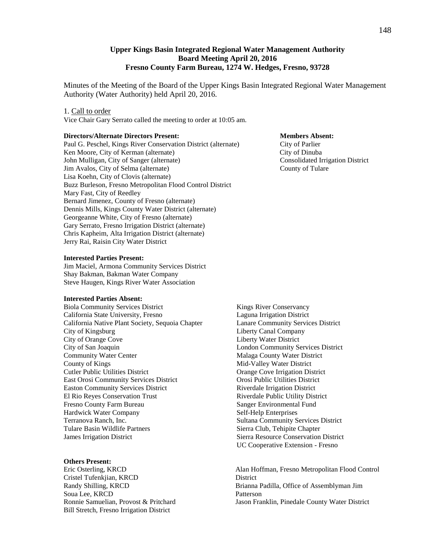## **Upper Kings Basin Integrated Regional Water Management Authority Board Meeting April 20, 2016 Fresno County Farm Bureau, 1274 W. Hedges, Fresno, 93728**

Minutes of the Meeting of the Board of the Upper Kings Basin Integrated Regional Water Management Authority (Water Authority) held April 20, 2016.

#### 1. Call to order

Vice Chair Gary Serrato called the meeting to order at 10:05 am.

#### **Directors/Alternate Directors Present: Members Absent:**

Paul G. Peschel, Kings River Conservation District (alternate) City of Parlier Ken Moore, City of Kerman (alternate) City of Dinuba John Mulligan, City of Sanger (alternate) Consolidated Irrigation District Jim Avalos, City of Selma (alternate) County of Tulare Lisa Koehn, City of Clovis (alternate) Buzz Burleson, Fresno Metropolitan Flood Control District Mary Fast, City of Reedley Bernard Jimenez, County of Fresno (alternate) Dennis Mills, Kings County Water District (alternate) Georgeanne White, City of Fresno (alternate) Gary Serrato, Fresno Irrigation District (alternate) Chris Kapheim, Alta Irrigation District (alternate) Jerry Rai, Raisin City Water District

#### **Interested Parties Present:**

Jim Maciel, Armona Community Services District Shay Bakman, Bakman Water Company Steve Haugen, Kings River Water Association

#### **Interested Parties Absent:**

Biola Community Services District California State University, Fresno California Native Plant Society, Sequoia Chapter City of Kingsburg City of Orange Cove City of San Joaquin Community Water Center County of Kings Cutler Public Utilities District East Orosi Community Services District Easton Community Services District El Rio Reyes Conservation Trust Fresno County Farm Bureau Hardwick Water Company Terranova Ranch, Inc. Tulare Basin Wildlife Partners James Irrigation District

#### **Others Present:**

Eric Osterling, KRCD Cristel Tufenkjian, KRCD Randy Shilling, KRCD Soua Lee, KRCD Ronnie Samuelian, Provost & Pritchard Bill Stretch, Fresno Irrigation District

 Kings River Conservancy Laguna Irrigation District Lanare Community Services District Liberty Canal Company Liberty Water District London Community Services District Malaga County Water District Mid-Valley Water District Orange Cove Irrigation District Orosi Public Utilities District Riverdale Irrigation District Riverdale Public Utility District Sanger Environmental Fund Self-Help Enterprises Sultana Community Services District Sierra Club, Tehipite Chapter Sierra Resource Conservation District UC Cooperative Extension - Fresno

Alan Hoffman, Fresno Metropolitan Flood Control District Brianna Padilla, Office of Assemblyman Jim Patterson Jason Franklin, Pinedale County Water District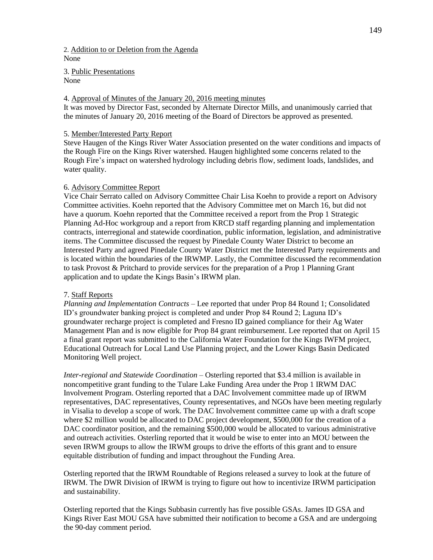2. Addition to or Deletion from the Agenda None

3. Public Presentations None

#### 4. Approval of Minutes of the January 20, 2016 meeting minutes

It was moved by Director Fast, seconded by Alternate Director Mills, and unanimously carried that the minutes of January 20, 2016 meeting of the Board of Directors be approved as presented.

## 5. Member/Interested Party Report

Steve Haugen of the Kings River Water Association presented on the water conditions and impacts of the Rough Fire on the Kings River watershed. Haugen highlighted some concerns related to the Rough Fire's impact on watershed hydrology including debris flow, sediment loads, landslides, and water quality.

## 6. Advisory Committee Report

Vice Chair Serrato called on Advisory Committee Chair Lisa Koehn to provide a report on Advisory Committee activities. Koehn reported that the Advisory Committee met on March 16, but did not have a quorum. Koehn reported that the Committee received a report from the Prop 1 Strategic Planning Ad-Hoc workgroup and a report from KRCD staff regarding planning and implementation contracts, interregional and statewide coordination, public information, legislation, and administrative items. The Committee discussed the request by Pinedale County Water District to become an Interested Party and agreed Pinedale County Water District met the Interested Party requirements and is located within the boundaries of the IRWMP. Lastly, the Committee discussed the recommendation to task Provost & Pritchard to provide services for the preparation of a Prop 1 Planning Grant application and to update the Kings Basin's IRWM plan.

# 7. Staff Reports

*Planning and Implementation Contracts* – Lee reported that under Prop 84 Round 1; Consolidated ID's groundwater banking project is completed and under Prop 84 Round 2; Laguna ID's groundwater recharge project is completed and Fresno ID gained compliance for their Ag Water Management Plan and is now eligible for Prop 84 grant reimbursement. Lee reported that on April 15 a final grant report was submitted to the California Water Foundation for the Kings IWFM project, Educational Outreach for Local Land Use Planning project, and the Lower Kings Basin Dedicated Monitoring Well project.

*Inter-regional and Statewide Coordination* – Osterling reported that \$3.4 million is available in noncompetitive grant funding to the Tulare Lake Funding Area under the Prop 1 IRWM DAC Involvement Program. Osterling reported that a DAC Involvement committee made up of IRWM representatives, DAC representatives, County representatives, and NGOs have been meeting regularly in Visalia to develop a scope of work. The DAC Involvement committee came up with a draft scope where \$2 million would be allocated to DAC project development, \$500,000 for the creation of a DAC coordinator position, and the remaining \$500,000 would be allocated to various administrative and outreach activities. Osterling reported that it would be wise to enter into an MOU between the seven IRWM groups to allow the IRWM groups to drive the efforts of this grant and to ensure equitable distribution of funding and impact throughout the Funding Area.

Osterling reported that the IRWM Roundtable of Regions released a survey to look at the future of IRWM. The DWR Division of IRWM is trying to figure out how to incentivize IRWM participation and sustainability.

Osterling reported that the Kings Subbasin currently has five possible GSAs. James ID GSA and Kings River East MOU GSA have submitted their notification to become a GSA and are undergoing the 90-day comment period.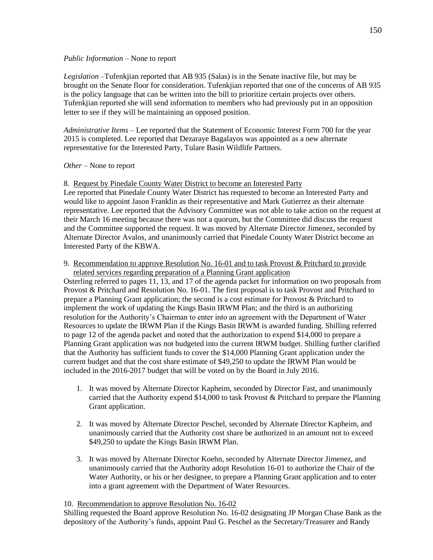## *Public Information* – None to report

*Legislation –*Tufenkjian reported that AB 935 (Salas) is in the Senate inactive file, but may be brought on the Senate floor for consideration. Tufenkjian reported that one of the concerns of AB 935 is the policy language that can be written into the bill to prioritize certain projects over others. Tufenkjian reported she will send information to members who had previously put in an opposition letter to see if they will be maintaining an opposed position.

*Administrative Items –* Lee reported that the Statement of Economic Interest Form 700 for the year 2015 is completed. Lee reported that Dezaraye Bagalayos was appointed as a new alternate representative for the Interested Party, Tulare Basin Wildlife Partners.

# *Other* – None to report

8. Request by Pinedale County Water District to become an Interested Party

Lee reported that Pinedale County Water District has requested to become an Interested Party and would like to appoint Jason Franklin as their representative and Mark Gutierrez as their alternate representative. Lee reported that the Advisory Committee was not able to take action on the request at their March 16 meeting because there was not a quorum, but the Committee did discuss the request and the Committee supported the request. It was moved by Alternate Director Jimenez, seconded by Alternate Director Avalos, and unanimously carried that Pinedale County Water District become an Interested Party of the KBWA.

9. Recommendation to approve Resolution No. 16-01 and to task Provost & Pritchard to provide related services regarding preparation of a Planning Grant application

Osterling referred to pages 11, 13, and 17 of the agenda packet for information on two proposals from Provost & Pritchard and Resolution No. 16-01. The first proposal is to task Provost and Pritchard to prepare a Planning Grant application; the second is a cost estimate for Provost & Pritchard to implement the work of updating the Kings Basin IRWM Plan; and the third is an authorizing resolution for the Authority's Chairman to enter into an agreement with the Department of Water Resources to update the IRWM Plan if the Kings Basin IRWM is awarded funding. Shilling referred to page 12 of the agenda packet and noted that the authorization to expend \$14,000 to prepare a Planning Grant application was not budgeted into the current IRWM budget. Shilling further clarified that the Authority has sufficient funds to cover the \$14,000 Planning Grant application under the current budget and that the cost share estimate of \$49,250 to update the IRWM Plan would be included in the 2016-2017 budget that will be voted on by the Board in July 2016.

- 1. It was moved by Alternate Director Kapheim, seconded by Director Fast, and unanimously carried that the Authority expend \$14,000 to task Provost & Pritchard to prepare the Planning Grant application.
- 2. It was moved by Alternate Director Peschel, seconded by Alternate Director Kapheim, and unanimously carried that the Authority cost share be authorized in an amount not to exceed \$49,250 to update the Kings Basin IRWM Plan.
- 3. It was moved by Alternate Director Koehn, seconded by Alternate Director Jimenez, and unanimously carried that the Authority adopt Resolution 16-01 to authorize the Chair of the Water Authority, or his or her designee, to prepare a Planning Grant application and to enter into a grant agreement with the Department of Water Resources.

10. Recommendation to approve Resolution No. 16-02

Shilling requested the Board approve Resolution No. 16-02 designating JP Morgan Chase Bank as the depository of the Authority's funds, appoint Paul G. Peschel as the Secretary/Treasurer and Randy